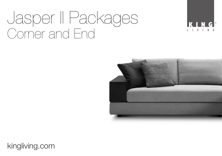# Jasper II Packages Corner and End





kingliving.com